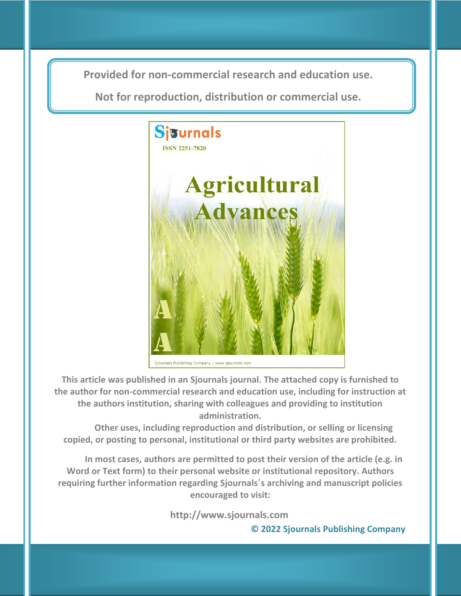**Provided for non-commercial research and education use. Provided for non-commercial research and education use.**

**Not for reproduction, distribution or commercial use. Not for reproduction, distribution or commercial use.**



Sjournals Publishing Company | www.sjournals.com

**This article was published in an Sjournals journal. The attached copy is furnished to the author for non-commercial research and education use, including for instruction at the authors institution, sharing with colleagues and providing to institution administration.**

**Other uses, including reproduction and distribution, or selling or licensing copied, or posting to personal, institutional or third party websites are prohibited.**

**In most cases, authors are permitted to post their version of the article (e.g. in Word or Text form) to their personal website or institutional repository. Authors requiring further information regarding Sjournals΄s archiving and manuscript policies encouraged to visit:**

**http://www.sjournals.com** 

 **© 2022 Sjournals Publishing Company**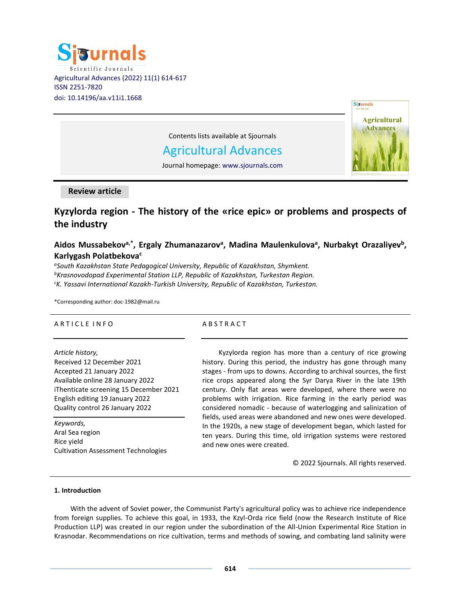



Contents lists available at Sjournals

# Agricultural Advances

Journal homepage: www.sjournals.com

# **Review article**

# **Kyzylorda region - The history of the «rice epic» or problems and prospects of the industry**

# **Aidos Mussabekova,\* , Ergaly Zhumanazarov<sup>a</sup> , Madina Maulenkulova<sup>a</sup> , Nurbakyt Orazaliyev<sup>b</sup> , Karlygash Polatbekova<sup>c</sup>**

*a South Kazakhstan State Pedagogical University, Republic* of *Kazakhstan, Shymkent. <sup>b</sup>Krasnovodopad Experimental Station LLP, Republic* of *Kazakhstan, Turkestan Region. <sup>c</sup>K. Yassavi International Kazakh-Turkish University, Republic* of *Kazakhstan, Turkestan.*

\*Corresponding author: doc-1982@mail.ru

# A R T I C L E IN FO

# **ABSTRACT**

*Article history,* Received 12 December 2021 Accepted 21 January 2022 Available online 28 January 2022 iThenticate screening 15 December 2021 English editing 19 January 2022 Quality control 26 January 2022

*Keywords,* Aral Sea region Rice yield Cultivation Assessment Technologies

Kyzylorda region has more than a century of rice growing history. During this period, the industry has gone through many stages - from ups to downs. According to archival sources, the first rice crops appeared along the Syr Darya River in the late 19th century. Only flat areas were developed, where there were no problems with irrigation. Rice farming in the early period was considered nomadic - because of waterlogging and salinization of fields, used areas were abandoned and new ones were developed. In the 1920s, a new stage of development began, which lasted for ten years. During this time, old irrigation systems were restored and new ones were created.

© 2022 Sjournals. All rights reserved.

#### **1. Introduction**

With the advent of Soviet power, the Communist Party's agricultural policy was to achieve rice independence from foreign supplies. To achieve this goal, in 1933, the Kzyl-Orda rice field (now the Research Institute of Rice Production LLP) was created in our region under the subordination of the All-Union Experimental Rice Station in Krasnodar. Recommendations on rice cultivation, terms and methods of sowing, and combating land salinity were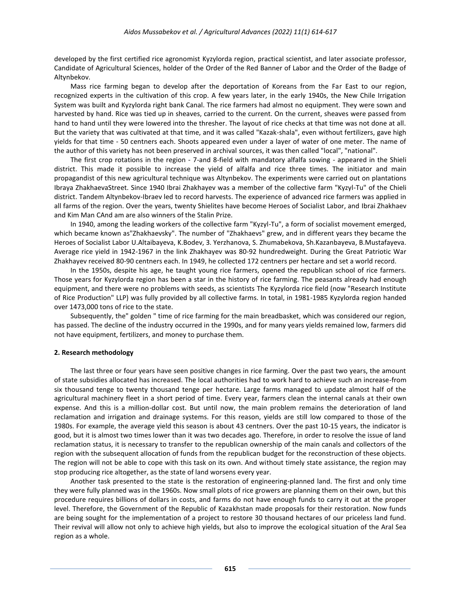developed by the first certified rice agronomist Kyzylorda region, practical scientist, and later associate professor, Candidate of Agricultural Sciences, holder of the Order of the Red Banner of Labor and the Order of the Badge of Altynbekov.

Mass rice farming began to develop after the deportation of Koreans from the Far East to our region, recognized experts in the cultivation of this crop. A few years later, in the early 1940s, the New Chile Irrigation System was built and Kyzylorda right bank Canal. The rice farmers had almost no equipment. They were sown and harvested by hand. Rice was tied up in sheaves, carried to the current. On the current, sheaves were passed from hand to hand until they were lowered into the thresher. The layout of rice checks at that time was not done at all. But the variety that was cultivated at that time, and it was called "Kazak-shala", even without fertilizers, gave high yields for that time - 50 centners each. Shoots appeared even under a layer of water of one meter. The name of the author of this variety has not been preserved in archival sources, it was then called "local", "national".

The first crop rotations in the region - 7-and 8-field with mandatory alfalfa sowing - appeared in the Shieli district. This made it possible to increase the yield of alfalfa and rice three times. The initiator and main propagandist of this new agricultural technique was Altynbekov. The experiments were carried out on plantations Ibraya ZhakhaevaStreet. Since 1940 Ibrai Zhakhayev was a member of the collective farm "Kyzyl-Tu" of the Chieli district. Tandem Altynbekov-Ibraev led to record harvests. The experience of advanced rice farmers was applied in all farms of the region. Over the years, twenty Shielites have become Heroes of Socialist Labor, and Ibrai Zhakhaev and Kim Man СAnd am are also winners of the Stalin Prize.

In 1940, among the leading workers of the collective farm "Kyzyl-Tu", a form of socialist movement emerged, which became known as"Zhakhaevsky". The number of "Zhakhaevs" grew, and in different years they became the Heroes of Socialist Labor U.Altaibayeva, K.Bodev, З. Yerzhanova, S. Zhumabekova, Sh.Kazanbayeva, B.Mustafayeva. Average rice yield in 1942-1967 in the link Zhakhayev was 80-92 hundredweight. During the Great Patriotic War Zhakhayev received 80-90 centners each. In 1949, he collected 172 centners per hectare and set a world record.

In the 1950s, despite his age, he taught young rice farmers, opened the republican school of rice farmers. Those years for Kyzylorda region has been a star in the history of rice farming. The peasants already had enough equipment, and there were no problems with seeds, as scientists The Kyzylorda rice field (now "Research Institute of Rice Production" LLP) was fully provided by all collective farms. In total, in 1981-1985 Kyzylorda region handed over 1473,000 tons of rice to the state.

Subsequently, the" golden " time of rice farming for the main breadbasket, which was considered our region, has passed. The decline of the industry occurred in the 1990s, and for many years yields remained low, farmers did not have equipment, fertilizers, and money to purchase them.

#### **2. Research methodology**

The last three or four years have seen positive changes in rice farming. Over the past two years, the amount of state subsidies allocated has increased. The local authorities had to work hard to achieve such an increase-from six thousand tenge to twenty thousand tenge per hectare. Large farms managed to update almost half of the agricultural machinery fleet in a short period of time. Every year, farmers clean the internal canals at their own expense. And this is a million-dollar cost. But until now, the main problem remains the deterioration of land reclamation and irrigation and drainage systems. For this reason, yields are still low compared to those of the 1980s. For example, the average yield this season is about 43 centners. Over the past 10-15 years, the indicator is good, but it is almost two times lower than it was two decades ago. Therefore, in order to resolve the issue of land reclamation status, it is necessary to transfer to the republican ownership of the main canals and collectors of the region with the subsequent allocation of funds from the republican budget for the reconstruction of these objects. The region will not be able to cope with this task on its own. And without timely state assistance, the region may stop producing rice altogether, as the state of land worsens every year.

Another task presented to the state is the restoration of engineering-planned land. The first and only time they were fully planned was in the 1960s. Now small plots of rice growers are planning them on their own, but this procedure requires billions of dollars in costs, and farms do not have enough funds to carry it out at the proper level. Therefore, the Government of the Republic of Kazakhstan made proposals for their restoration. Now funds are being sought for the implementation of a project to restore 30 thousand hectares of our priceless land fund. Their revival will allow not only to achieve high yields, but also to improve the ecological situation of the Aral Sea region as a whole.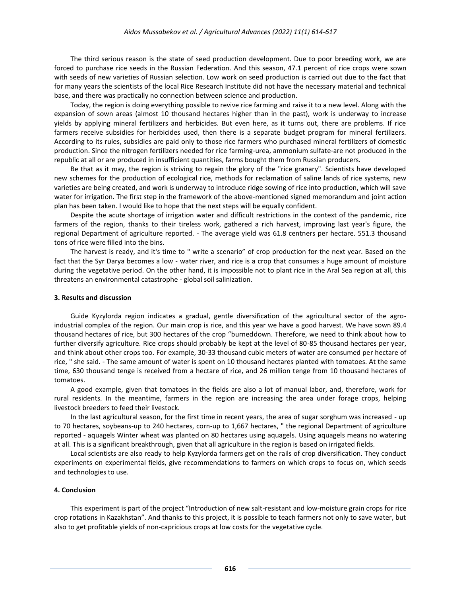The third serious reason is the state of seed production development. Due to poor breeding work, we are forced to purchase rice seeds in the Russian Federation. And this season, 47.1 percent of rice crops were sown with seeds of new varieties of Russian selection. Low work on seed production is carried out due to the fact that for many years the scientists of the local Rice Research Institute did not have the necessary material and technical base, and there was practically no connection between science and production.

Today, the region is doing everything possible to revive rice farming and raise it to a new level. Along with the expansion of sown areas (almost 10 thousand hectares higher than in the past), work is underway to increase yields by applying mineral fertilizers and herbicides. But even here, as it turns out, there are problems. If rice farmers receive subsidies for herbicides used, then there is a separate budget program for mineral fertilizers. According to its rules, subsidies are paid only to those rice farmers who purchased mineral fertilizers of domestic production. Since the nitrogen fertilizers needed for rice farming-urea, ammonium sulfate-are not produced in the republic at all or are produced in insufficient quantities, farms bought them from Russian producers.

Be that as it may, the region is striving to regain the glory of the "rice granary". Scientists have developed new schemes for the production of ecological rice, methods for reclamation of saline lands of rice systems, new varieties are being created, and work is underway to introduce ridge sowing of rice into production, which will save water for irrigation. The first step in the framework of the above-mentioned signed memorandum and joint action plan has been taken. I would like to hope that the next steps will be equally confident.

Despite the acute shortage of irrigation water and difficult restrictions in the context of the pandemic, [rice](https://www.caravan.kz/gazeta/akademik-belykh-polejj-384978/) farmers of the region, thanks to their tireless work, gathered a rich harvest, improving last year's figure, the regional Department of agriculture reported. - The average yield was 61.8 centners per hectare. 551.3 thousand tons of rice were filled into the bins.

The harvest is ready, and it's time to " write a scenario" of crop production for the next year. Based on the fact that the Syr Darya becomes a low - water river, and rice is a crop that consumes a huge amount of moisture during the vegetative period. On the other hand, it is impossible not to plant rice in the Aral Sea region at all, this threatens an environmental catastrophe - global soil salinization.

#### **3. Results and discussion**

Guide Kyzylorda region indicates a gradual, gentle diversification of the agricultural sector of the agroindustrial complex of the region. Our main crop is [rice,](https://www.caravan.kz/gazeta/pomnit-vsem-634755/) and this year we have a good harvest. We have sown 89.4 thousand hectares of rice, but 300 hectares of the crop "burneddown. Therefore, we need to think about how to further diversify agriculture. Rice crops should probably be kept at the level of 80-85 thousand hectares per year, and think about other crops too. For example, 30-33 thousand cubic meters of water are consumed per hectare of rice, " she said. - The same amount of water is spent on 10 thousand hectares planted with tomatoes. At the same time, 630 thousand tenge is received from a hectare of rice, and 26 million tenge from 10 thousand hectares of tomatoes.

A good example, given that tomatoes in the fields are also a lot of manual labor, and, therefore, work for rural residents. In the meantim[e, farmers in the region](https://www.caravan.kz/gazeta/risinka-k-risinke-kak-zhil-edinstvennyjj-v-mire-polevojj-akademik-599880/) are increasing the area under forage crops, helping livestock breeders to feed their livestock.

In the last agricultural season, for the first time in recent years, the area of sugar sorghum was increased - up to 70 hectares, soybeans-up to 240 hectares, corn-up to 1,667 hectares, " the regional Department of agriculture reported - aquagels Winter wheat was planted on 80 hectares using aquagels. Using aquagels means no watering at all. This is a significant breakthrough, given that all agriculture in the region is based on irrigated fields.

Local scientists are also ready to help Kyzylorda farmers get on the rails of crop diversification. They conduct experiments on experimental fields, give recommendations to farmers on which crops to focus on, which seeds and technologies to use.

# **4. Conclusion**

This experiment is part of the project "Introduction of new salt-resistant and low-moisture grain crops for rice crop rotations in Kazakhstan". And thanks to this project, it is possible to teach farmers not only to save water, but also to get profitable yields of non-capricious crops at low costs for the vegetative cycle.